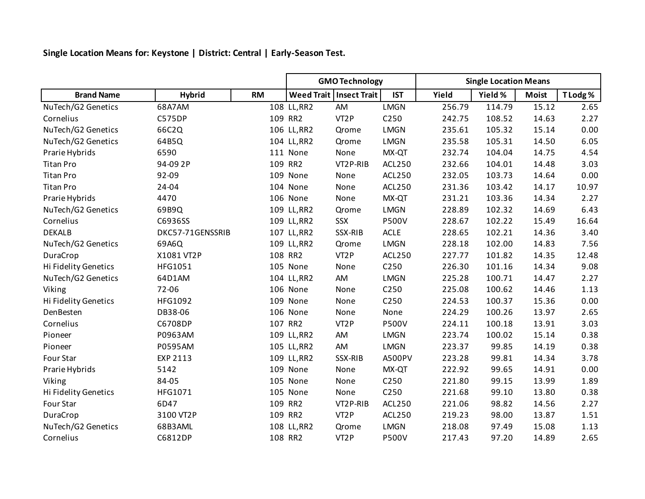**Single Location Means for: Keystone | District: Central | Early-Season Test.**

|                      |                  |           | <b>GMO Technology</b> |                           |                  | <b>Single Location Means</b> |         |              |          |  |
|----------------------|------------------|-----------|-----------------------|---------------------------|------------------|------------------------------|---------|--------------|----------|--|
| <b>Brand Name</b>    | <b>Hybrid</b>    | <b>RM</b> |                       | Weed Trait   Insect Trait | <b>IST</b>       | Yield                        | Yield % | <b>Moist</b> | T Lodg % |  |
| NuTech/G2 Genetics   | 68A7AM           |           | 108 LL, RR2           | AM                        | <b>LMGN</b>      | 256.79                       | 114.79  | 15.12        | 2.65     |  |
| Cornelius            | <b>C575DP</b>    | 109 RR2   |                       | VT <sub>2</sub> P         | C <sub>250</sub> | 242.75                       | 108.52  | 14.63        | 2.27     |  |
| NuTech/G2 Genetics   | 66C2Q            |           | 106 LL, RR2           | Qrome                     | <b>LMGN</b>      | 235.61                       | 105.32  | 15.14        | 0.00     |  |
| NuTech/G2 Genetics   | 64B5Q            |           | 104 LL, RR2           | Qrome                     | <b>LMGN</b>      | 235.58                       | 105.31  | 14.50        | 6.05     |  |
| Prarie Hybrids       | 6590             |           | 111 None              | None                      | MX-QT            | 232.74                       | 104.04  | 14.75        | 4.54     |  |
| <b>Titan Pro</b>     | 94-09 2P         | 109 RR2   |                       | VT2P-RIB                  | ACL250           | 232.66                       | 104.01  | 14.48        | 3.03     |  |
| <b>Titan Pro</b>     | 92-09            |           | 109 None              | None                      | <b>ACL250</b>    | 232.05                       | 103.73  | 14.64        | 0.00     |  |
| <b>Titan Pro</b>     | 24-04            |           | 104 None              | None                      | <b>ACL250</b>    | 231.36                       | 103.42  | 14.17        | 10.97    |  |
| Prarie Hybrids       | 4470             |           | 106 None              | None                      | MX-QT            | 231.21                       | 103.36  | 14.34        | 2.27     |  |
| NuTech/G2 Genetics   | 69B9Q            |           | 109 LL, RR2           | Qrome                     | <b>LMGN</b>      | 228.89                       | 102.32  | 14.69        | 6.43     |  |
| Cornelius            | C6936SS          |           | 109 LL, RR2           | SSX                       | <b>P500V</b>     | 228.67                       | 102.22  | 15.49        | 16.64    |  |
| <b>DEKALB</b>        | DKC57-71GENSSRIB |           | 107 LL, RR2           | SSX-RIB                   | <b>ACLE</b>      | 228.65                       | 102.21  | 14.36        | 3.40     |  |
| NuTech/G2 Genetics   | 69A6Q            |           | 109 LL, RR2           | Qrome                     | <b>LMGN</b>      | 228.18                       | 102.00  | 14.83        | 7.56     |  |
| DuraCrop             | X1081 VT2P       | 108 RR2   |                       | VT <sub>2</sub> P         | <b>ACL250</b>    | 227.77                       | 101.82  | 14.35        | 12.48    |  |
| Hi Fidelity Genetics | HFG1051          |           | 105 None              | None                      | C250             | 226.30                       | 101.16  | 14.34        | 9.08     |  |
| NuTech/G2 Genetics   | 64D1AM           |           | 104 LL, RR2           | AM                        | LMGN             | 225.28                       | 100.71  | 14.47        | 2.27     |  |
| Viking               | 72-06            |           | 106 None              | None                      | C <sub>250</sub> | 225.08                       | 100.62  | 14.46        | 1.13     |  |
| Hi Fidelity Genetics | HFG1092          |           | 109 None              | None                      | C250             | 224.53                       | 100.37  | 15.36        | 0.00     |  |
| DenBesten            | DB38-06          |           | 106 None              | None                      | None             | 224.29                       | 100.26  | 13.97        | 2.65     |  |
| Cornelius            | C6708DP          | 107 RR2   |                       | VT <sub>2</sub> P         | <b>P500V</b>     | 224.11                       | 100.18  | 13.91        | 3.03     |  |
| Pioneer              | P0963AM          |           | 109 LL, RR2           | AM                        | <b>LMGN</b>      | 223.74                       | 100.02  | 15.14        | 0.38     |  |
| Pioneer              | P0595AM          |           | 105 LL, RR2           | AM                        | <b>LMGN</b>      | 223.37                       | 99.85   | 14.19        | 0.38     |  |
| Four Star            | EXP 2113         |           | 109 LL, RR2           | SSX-RIB                   | A500PV           | 223.28                       | 99.81   | 14.34        | 3.78     |  |
| Prarie Hybrids       | 5142             |           | 109 None              | None                      | MX-QT            | 222.92                       | 99.65   | 14.91        | 0.00     |  |
| Viking               | 84-05            |           | 105 None              | None                      | C <sub>250</sub> | 221.80                       | 99.15   | 13.99        | 1.89     |  |
| Hi Fidelity Genetics | HFG1071          |           | 105 None              | None                      | C250             | 221.68                       | 99.10   | 13.80        | 0.38     |  |
| Four Star            | 6D47             | 109 RR2   |                       | VT2P-RIB                  | ACL250           | 221.06                       | 98.82   | 14.56        | 2.27     |  |
| DuraCrop             | 3100 VT2P        | 109 RR2   |                       | VT <sub>2</sub> P         | ACL250           | 219.23                       | 98.00   | 13.87        | 1.51     |  |
| NuTech/G2 Genetics   | 68B3AML          |           | 108 LL, RR2           | Qrome                     | <b>LMGN</b>      | 218.08                       | 97.49   | 15.08        | 1.13     |  |
| Cornelius            | C6812DP          | 108 RR2   |                       | VT <sub>2</sub> P         | <b>P500V</b>     | 217.43                       | 97.20   | 14.89        | 2.65     |  |